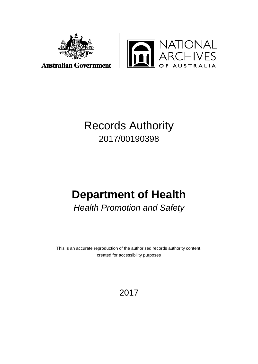



**Australian Government** 

## Records Authority 2017/00190398

# **Department of Health**

*Health Promotion and Safety*

This is an accurate reproduction of the authorised records authority content, created for accessibility purposes

2017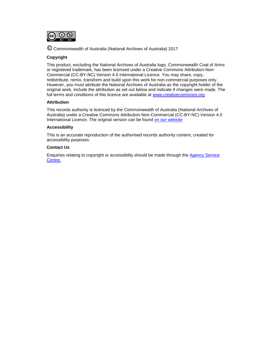

© Commonwealth of Australia (National Archives of Australia) <sup>2017</sup>

#### **Copyright**

This product, excluding the National Archives of Australia logo, Commonwealth Coat of Arms or registered trademark, has been licensed under a Creative Commons Attribution-Non-Commercial (CC-BY-NC) Version 4.0 International Licence. You may share, copy, redistribute, remix, transform and build upon this work for non-commercial purposes only. However, you must attribute the National Archives of Australia as the copyright holder of the original work, include the attribution as set out below and indicate if changes were made. The full terms and conditions of this licence are available at [www.creativecommons.org](http://www.creativecommons.org/)

#### **Attribution**

This records authority is licenced by the Commonwealth of Australia (National Archives of Australia) under a Creative Commons Attribution-Non-Commercial (CC-BY-NC) Version 4.0 International Licence. The original version can be found [on our website](http://www.naa.gov.au/)

#### **Accessibility**

This is an accurate reproduction of the authorised records authority content, created for accessibility purposes.

#### **Contact Us**

Enquiries relating to copyright or accessibility should be made through the [Agency Service](http://reftracker.naa.gov.au/reft000.aspx?pmi=jpGkKEm4vT)  [Centre.](http://reftracker.naa.gov.au/reft000.aspx?pmi=jpGkKEm4vT)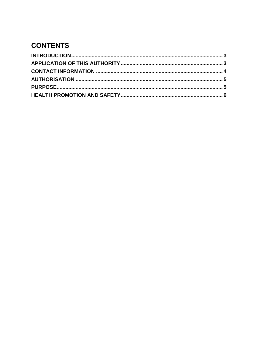### **CONTENTS**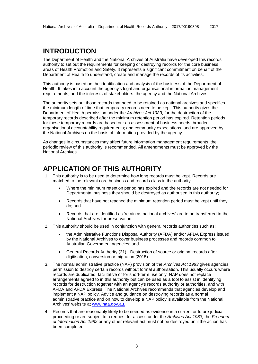### <span id="page-3-0"></span>**INTRODUCTION**

The Department of Health and the National Archives of Australia have developed this records authority to set out the requirements for keeping or destroying records for the core business areas of Health Promotion and Safety. It represents a significant commitment on behalf of the Department of Health to understand, create and manage the records of its activities.

This authority is based on the identification and analysis of the business of the Department of Health. It takes into account the agency's legal and organisational information management requirements, and the interests of stakeholders, the agency and the National Archives.

The authority sets out those records that need to be retained as national archives and specifies the minimum length of time that temporary records need to be kept. This authority gives the Department of Health permission under the *Archives Act 1983*, for the destruction of the temporary records described after the minimum retention period has expired. Retention periods for these temporary records are based on: an assessment of business needs; broader organisational accountability requirements; and community expectations, and are approved by the National Archives on the basis of information provided by the agency.

As changes in circumstances may affect future information management requirements, the periodic review of this authority is recommended. All amendments must be approved by the National Archives.

#### <span id="page-3-1"></span>**APPLICATION OF THIS AUTHORITY**

- 1. This authority is to be used to determine how long records must be kept. Records are matched to the relevant core business and records class in the authority.
	- Where the minimum retention period has expired and the records are not needed for Departmental business they should be destroyed as authorised in this authority;
	- Records that have not reached the minimum retention period must be kept until they do; and
	- Records that are identified as 'retain as national archives' are to be transferred to the National Archives for preservation.
- 2. This authority should be used in conjunction with general records authorities such as:
	- the Administrative Functions Disposal Authority (AFDA) and/or AFDA Express issued by the National Archives to cover business processes and records common to Australian Government agencies; and
	- General Records Authority (31) Destruction of source or original records after digitisation, conversion or migration (2015).
- 3. The normal administrative practice (NAP) provision of the *Archives Act 1983* gives agencies permission to destroy certain records without formal authorisation. This usually occurs where records are duplicated, facilitative or for short-term use only. NAP does not replace arrangements agreed to in this authority but can be used as a tool to assist in identifying records for destruction together with an agency's records authority or authorities, and with AFDA and AFDA Express. The National Archives recommends that agencies develop and implement a NAP policy. Advice and guidance on destroying records as a normal administrative practice and on how to develop a NAP policy is available from the National Archives' website at [www.naa.gov.au.](http://www.naa.gov.au/)
- 4. Records that are reasonably likely to be needed as evidence in a current or future judicial proceeding or are subject to a request for access under the *Archives Act 1983,* the *Freedom of Information Act 1982* or any other relevant act must not be destroyed until the action has been completed.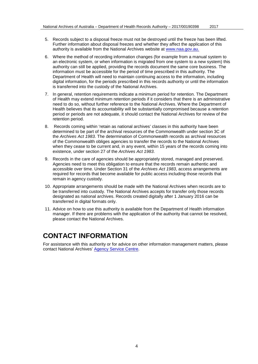- 5. Records subject to a disposal freeze must not be destroyed until the freeze has been lifted. Further information about disposal freezes and whether they affect the application of this authority is available from the National Archives website at [www.naa.gov.au.](http://www.naa.gov.au/)
- 6. Where the method of recording information changes (for example from a manual system to an electronic system, or when information is migrated from one system to a new system) this authority can still be applied, providing the records document the same core business. The information must be accessible for the period of time prescribed in this authority. The Department of Health will need to maintain continuing access to the information, including digital information, for the periods prescribed in this records authority or until the information is transferred into the custody of the National Archives.
- 7. In general, retention requirements indicate a minimum period for retention. The Department of Health may extend minimum retention periods if it considers that there is an administrative need to do so, without further reference to the National Archives. Where the Department of Health believes that its accountability will be substantially compromised because a retention period or periods are not adequate, it should contact the National Archives for review of the retention period.
- 8. Records coming within 'retain as national archives' classes in this authority have been determined to be part of the archival resources of the Commonwealth under section 3C of the *Archives Act 1983*. The determination of Commonwealth records as archival resources of the Commonwealth obliges agencies to transfer the records to the National Archives when they cease to be current and, in any event, within 15 years of the records coming into existence, under section 27 of the *Archives Act 1983*.
- 9. Records in the care of agencies should be appropriately stored, managed and preserved. Agencies need to meet this obligation to ensure that the records remain authentic and accessible over time. Under Section 31 of the *Archives Act 1983*, access arrangements are required for records that become available for public access including those records that remain in agency custody.
- 10. Appropriate arrangements should be made with the National Archives when records are to be transferred into custody. The National Archives accepts for transfer only those records designated as national archives. Records created digitally after 1 January 2016 can be transferred in digital formats only.
- 11. Advice on how to use this authority is available from the Department of Health information manager. If there are problems with the application of the authority that cannot be resolved, please contact the National Archives.

### <span id="page-4-0"></span>**CONTACT INFORMATION**

For assistance with this authority or for advice on other information management matters, please contact National Archives' [Agency Service Centre.](http://www.naa.gov.au/information-management/support/agency-service-centre/index.aspx)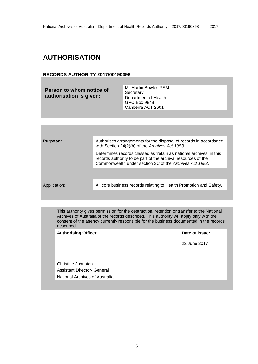### <span id="page-5-0"></span>**AUTHORISATION**

#### **RECORDS AUTHORITY 2017/00190398**

| Person to whom notice of<br>authorisation is given: | Mr Martin Bowles PSM<br>Secretary<br>Department of Health<br>GPO Box 9848<br>Canberra ACT 2601 |
|-----------------------------------------------------|------------------------------------------------------------------------------------------------|
|                                                     |                                                                                                |

<span id="page-5-1"></span>

| <b>Purpose:</b> | Authorises arrangements for the disposal of records in accordance<br>with Section 24(2)(b) of the Archives Act 1983.                                                                            |
|-----------------|-------------------------------------------------------------------------------------------------------------------------------------------------------------------------------------------------|
|                 | Determines records classed as 'retain as national archives' in this<br>records authority to be part of the archival resources of the<br>Commonwealth under section 3C of the Archives Act 1983. |
|                 |                                                                                                                                                                                                 |
| Application:    | All core business records relating to Health Promotion and Safety.                                                                                                                              |
|                 |                                                                                                                                                                                                 |

This authority gives permission for the destruction, retention or transfer to the National Archives of Australia of the records described. This authority will apply only with the consent of the agency currently responsible for the business documented in the records described.

Authorising Officer **Contract Contract Contract Contract Contract Contract Contract Contract Contract Contract Contract Contract Contract Contract Contract Contract Contract Contract Contract Contract Contract Contract Con** 

22 June 2017

Christine Johnston Assistant Director- General National Archives of Australia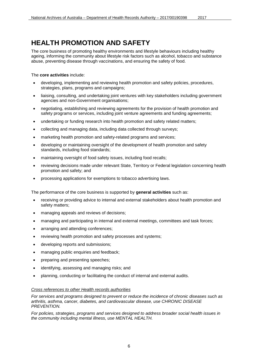<span id="page-6-0"></span>The core business of promoting healthy environments and lifestyle behaviours including healthy ageing, informing the community about lifestyle risk factors such as alcohol, tobacco and substance abuse, preventing disease through vaccinations, and ensuring the safety of food.

The **core activities** include:

- developing, implementing and reviewing health promotion and safety policies, procedures, strategies, plans, programs and campaigns;
- liaising, consulting, and undertaking joint ventures with key stakeholders including government agencies and non-Government organisations;
- negotiating, establishing and reviewing agreements for the provision of health promotion and safety programs or services, including joint venture agreements and funding agreements;
- undertaking or funding research into health promotion and safety related matters;
- collecting and managing data, including data collected through surveys;
- marketing health promotion and safety-related programs and services;
- developing or maintaining oversight of the development of health promotion and safety standards, including food standards;
- maintaining oversight of food safety issues, including food recalls;
- reviewing decisions made under relevant State, Territory or Federal legislation concerning health promotion and safety; and
- processing applications for exemptions to tobacco advertising laws.

The performance of the core business is supported by **general activities** such as:

- receiving or providing advice to internal and external stakeholders about health promotion and safety matters;
- managing appeals and reviews of decisions;
- managing and participating in internal and external meetings, committees and task forces;
- arranging and attending conferences;
- reviewing health promotion and safety processes and systems;
- developing reports and submissions;
- managing public enquiries and feedback;
- preparing and presenting speeches;
- identifying, assessing and managing risks; and
- planning, conducting or facilitating the conduct of internal and external audits.

#### *Cross references to other Health records authorities*

*For services and programs designed to prevent or reduce the incidence of chronic diseases such as arthritis, asthma, cancer, diabetes, and cardiovascular disease, use CHRONIC DISEASE PREVENTION.*

*For policies, strategies, programs and services designed to address broader social health issues in the community including mental illness, use MENTAL HEALTH.*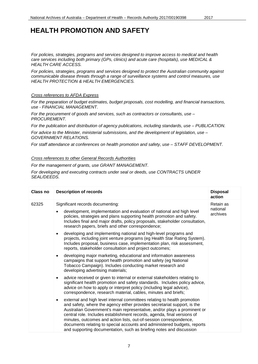*For policies, strategies, programs and services designed to improve access to medical and health care services including both primary (GPs, clinics) and acute care (hospitals), use MEDICAL & HEALTH CARE ACCESS.*

*For policies, strategies, programs and services designed to protect the Australian community against communicable disease threats through a range of surveillance systems and control measures, use HEALTH PROTECTION & HEALTH EMERGENCIES.* 

#### *Cross references to AFDA Express*

*For the preparation of budget estimates, budget proposals, cost modelling, and financial transactions, use - FINANCIAL MANAGEMENT.*

*For the procurement of goods and services, such as contractors or consultants, use – PROCUREMENT.*

*For the publication and distribution of agency publications, including standards, use – PUBLICATION.*

*For advice to the Minister, ministerial submissions, and the development of legislation, use – GOVERNMENT RELATIONS.*

*For staff attendance at conferences on health promotion and safety, use – STAFF DEVELOPMENT.*

#### *Cross references to other General Records Authorities*

*For the management of grants, use GRANT MANAGEMENT.*

*For developing and executing contracts under seal or deeds, use CONTRACTS UNDER SEAL/DEEDS.*

| Class no | <b>Description of records</b>                                                                                                                                                                                                                                                                                                                                                                                                                                                                                                                     | <b>Disposal</b><br>action         |
|----------|---------------------------------------------------------------------------------------------------------------------------------------------------------------------------------------------------------------------------------------------------------------------------------------------------------------------------------------------------------------------------------------------------------------------------------------------------------------------------------------------------------------------------------------------------|-----------------------------------|
| 62325    | Significant records documenting:<br>development, implementation and evaluation of national and high level<br>policies, strategies and plans supporting health promotion and safety.<br>Includes final and major drafts, policy proposals, stakeholder consultation,<br>research papers, briefs and other correspondence;                                                                                                                                                                                                                          | Retain as<br>national<br>archives |
|          | developing and implementing national and high-level programs and<br>$\bullet$<br>projects, including joint venture programs (eg Health Star Rating System).<br>Includes proposal, business case, implementation plan, risk assessment,<br>reports, stakeholder consultation and project outcomes;                                                                                                                                                                                                                                                 |                                   |
|          | developing major marketing, educational and information awareness<br>$\bullet$<br>campaigns that support health promotion and safety (eg National<br>Tobacco Campaign). Includes conducting market research and<br>developing advertising materials;                                                                                                                                                                                                                                                                                              |                                   |
|          | advice received or given to internal or external stakeholders relating to<br>$\bullet$<br>significant health promotion and safety standards. Includes policy advice,<br>advice on how to apply or interpret policy (including legal advice),<br>correspondence, research material, cables, minutes and briefs;                                                                                                                                                                                                                                    |                                   |
|          | external and high level internal committees relating to health promotion<br>$\bullet$<br>and safety, where the agency either provides secretariat support, is the<br>Australian Government's main representative, and/or plays a prominent or<br>central role. Includes establishment records, agenda, final versions of<br>minutes, outcomes and action lists, out-of-session correspondence,<br>documents relating to special accounts and administered budgets, reports<br>and supporting documentation, such as briefing notes and discussion |                                   |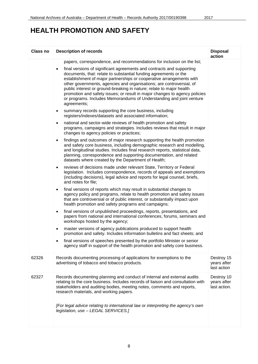| Class no | <b>Description of records</b>                                                                                                                                                                                                                                                                                                                                                                                                                                                                                                                                                                                                                                                                                                                                                                                                                                                                                                                                                                                                                                                                                                                                                                                                                                                                                                                                                                                                                                                                                                                                                                                                                                                                                                                                                                                                                                                                                                                                                                                                                                                                                                                                                                                                                                                                            | <b>Disposal</b><br>action                 |
|----------|----------------------------------------------------------------------------------------------------------------------------------------------------------------------------------------------------------------------------------------------------------------------------------------------------------------------------------------------------------------------------------------------------------------------------------------------------------------------------------------------------------------------------------------------------------------------------------------------------------------------------------------------------------------------------------------------------------------------------------------------------------------------------------------------------------------------------------------------------------------------------------------------------------------------------------------------------------------------------------------------------------------------------------------------------------------------------------------------------------------------------------------------------------------------------------------------------------------------------------------------------------------------------------------------------------------------------------------------------------------------------------------------------------------------------------------------------------------------------------------------------------------------------------------------------------------------------------------------------------------------------------------------------------------------------------------------------------------------------------------------------------------------------------------------------------------------------------------------------------------------------------------------------------------------------------------------------------------------------------------------------------------------------------------------------------------------------------------------------------------------------------------------------------------------------------------------------------------------------------------------------------------------------------------------------------|-------------------------------------------|
|          | papers, correspondence, and recommendations for inclusion on the list;<br>final versions of significant agreements and contracts and supporting<br>$\bullet$<br>documents, that: relate to substantial funding agreements or the<br>establishment of major partnerships or cooperative arrangements with<br>other governments, agencies and organisations; are controversial, of<br>public interest or ground-breaking in nature; relate to major health<br>promotion and safety issues; or result in major changes to agency policies<br>or programs. Includes Memorandums of Understanding and joint venture<br>agreements;<br>summary records supporting the core business, including<br>$\bullet$<br>registers/indexes/datasets and associated information;<br>national and sector-wide reviews of health promotion and safety<br>$\bullet$<br>programs, campaigns and strategies. Includes reviews that result in major<br>changes to agency policies or practices;<br>findings and outcomes of major research supporting the health promotion<br>$\bullet$<br>and safety core business, including demographic research and modelling,<br>and longitudinal studies. Includes final research reports, statistical data,<br>planning, correspondence and supporting documentation, and related<br>datasets where created by the Department of Health;<br>reviews of decisions made under relevant State, Territory or Federal<br>$\bullet$<br>legislation. Includes correspondence, records of appeals and exemptions<br>(including decisions), legal advice and reports for legal counsel, briefs,<br>and notes for file;<br>final versions of reports which may result in substantial changes to<br>$\bullet$<br>agency policy and programs, relate to health promotion and safety issues<br>that are controversial or of public interest, or substantially impact upon<br>health promotion and safety programs and campaigns;<br>final versions of unpublished proceedings, reports, presentations, and<br>$\bullet$<br>papers from national and international conferences, forums, seminars and<br>workshops hosted by the agency;<br>master versions of agency publications produced to support health<br>$\bullet$<br>promotion and safety. Includes information bulletins and fact sheets; and |                                           |
|          | final versions of speeches presented by the portfolio Minister or senior<br>agency staff in support of the health promotion and safety core business.                                                                                                                                                                                                                                                                                                                                                                                                                                                                                                                                                                                                                                                                                                                                                                                                                                                                                                                                                                                                                                                                                                                                                                                                                                                                                                                                                                                                                                                                                                                                                                                                                                                                                                                                                                                                                                                                                                                                                                                                                                                                                                                                                    |                                           |
| 62326    | Records documenting processing of applications for exemptions to the<br>advertising of tobacco and tobacco products.                                                                                                                                                                                                                                                                                                                                                                                                                                                                                                                                                                                                                                                                                                                                                                                                                                                                                                                                                                                                                                                                                                                                                                                                                                                                                                                                                                                                                                                                                                                                                                                                                                                                                                                                                                                                                                                                                                                                                                                                                                                                                                                                                                                     | Destroy 15<br>years after<br>last action  |
| 62327    | Records documenting planning and conduct of internal and external audits<br>relating to the core business. Includes records of liaison and consultation with<br>stakeholders and auditing bodies, meeting notes, comments and reports,<br>research materials, and working papers.<br>[For legal advice relating to international law or interpreting the agency's own<br>legislation, use - LEGAL SERVICES.]                                                                                                                                                                                                                                                                                                                                                                                                                                                                                                                                                                                                                                                                                                                                                                                                                                                                                                                                                                                                                                                                                                                                                                                                                                                                                                                                                                                                                                                                                                                                                                                                                                                                                                                                                                                                                                                                                             | Destroy 10<br>years after<br>last action. |